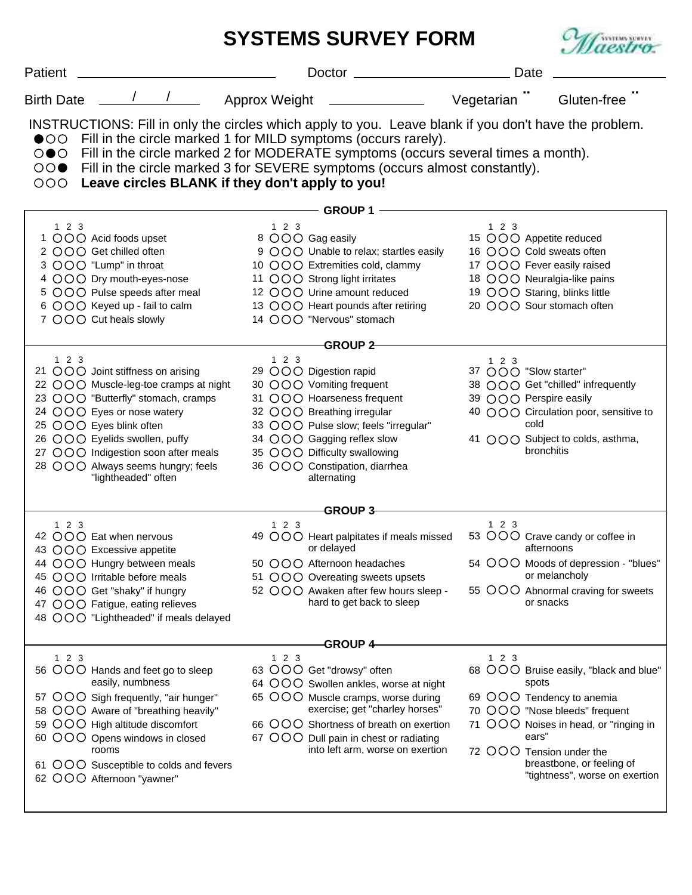|                   |                                                                                                                                                                                                                                                                                                               | <b>SYSTEMS SURVEY FORM</b>                                                                                                                                                                                                                                                  |                                                                                                                                                                                                                                                                                   | <b>SYSTEMS SURVEY</b>                                                                                                                                                                                        |  |  |  |
|-------------------|---------------------------------------------------------------------------------------------------------------------------------------------------------------------------------------------------------------------------------------------------------------------------------------------------------------|-----------------------------------------------------------------------------------------------------------------------------------------------------------------------------------------------------------------------------------------------------------------------------|-----------------------------------------------------------------------------------------------------------------------------------------------------------------------------------------------------------------------------------------------------------------------------------|--------------------------------------------------------------------------------------------------------------------------------------------------------------------------------------------------------------|--|--|--|
| Patient           |                                                                                                                                                                                                                                                                                                               | Doctor _                                                                                                                                                                                                                                                                    | Date                                                                                                                                                                                                                                                                              |                                                                                                                                                                                                              |  |  |  |
| <b>Birth Date</b> |                                                                                                                                                                                                                                                                                                               | Approx Weight <b>with the COVID-100 and Approx</b>                                                                                                                                                                                                                          | Vegetarian T                                                                                                                                                                                                                                                                      | Gluten-free                                                                                                                                                                                                  |  |  |  |
| 000               |                                                                                                                                                                                                                                                                                                               | ●○○ Fill in the circle marked 1 for MILD symptoms (occurs rarely).<br>Leave circles BLANK if they don't apply to you!                                                                                                                                                       | INSTRUCTIONS: Fill in only the circles which apply to you. Leave blank if you don't have the problem.<br>○●○ Fill in the circle marked 2 for MODERATE symptoms (occurs several times a month).<br>○○● Fill in the circle marked 3 for SEVERE symptoms (occurs almost constantly). |                                                                                                                                                                                                              |  |  |  |
| <b>GROUP 1</b>    |                                                                                                                                                                                                                                                                                                               |                                                                                                                                                                                                                                                                             |                                                                                                                                                                                                                                                                                   |                                                                                                                                                                                                              |  |  |  |
| 123               | 1 OOO Acid foods upset<br>2 OOO Get chilled often<br>3 OOO "Lump" in throat<br>4 OOO Dry mouth-eyes-nose<br>5 OOO Pulse speeds after meal<br>6 OOO Keyed up - fail to calm<br>7 OOO Cut heals slowly                                                                                                          | 123<br>8 OOO Gag easily<br>9 OOO Unable to relax; startles easily<br>10 OOO Extremities cold, clammy<br>11 OOO Strong light irritates<br>12 OOO Urine amount reduced<br>13 OOO Heart pounds after retiring<br>14 OOO "Nervous" stomach                                      | $1\ 2\ 3$<br>15 OOO Appetite reduced<br>16 OOO Cold sweats often<br>17 OOO Fever easily raised<br>19 OOO Staring, blinks little<br>20 OOO Sour stomach often                                                                                                                      | 18 OOO Neuralgia-like pains                                                                                                                                                                                  |  |  |  |
|                   |                                                                                                                                                                                                                                                                                                               | -GROUP 2-                                                                                                                                                                                                                                                                   |                                                                                                                                                                                                                                                                                   |                                                                                                                                                                                                              |  |  |  |
| 123               | 21 OOO Joint stiffness on arising<br>22 OOO Muscle-leg-toe cramps at night<br>23 OOO "Butterfly" stomach, cramps<br>24 OOO Eyes or nose watery<br>25 OOO Eyes blink often<br>26 OOO Eyelids swollen, puffy<br>27 OOO Indigestion soon after meals<br>28 OOO Always seems hungry; feels<br>"lightheaded" often | 123<br>29 OOO Digestion rapid<br>30 OOO Vomiting frequent<br>31 OOO Hoarseness frequent<br>32 OOO Breathing irregular<br>33 OOO Pulse slow; feels "irregular"<br>34 OOO Gagging reflex slow<br>35 OOO Difficulty swallowing<br>36 OOO Constipation, diarrhea<br>alternating | 123<br>37 OOO "Slow starter"<br>39 OOO Perspire easily<br>cold                                                                                                                                                                                                                    | 38 OOO Get "chilled" infrequently<br>40 OOO Circulation poor, sensitive to<br>41 OOO Subject to colds, asthma,<br>bronchitis                                                                                 |  |  |  |
| <b>GROUP 3-</b>   |                                                                                                                                                                                                                                                                                                               |                                                                                                                                                                                                                                                                             |                                                                                                                                                                                                                                                                                   |                                                                                                                                                                                                              |  |  |  |
| $123$             | 42 OOO Eat when nervous<br>43 OOO Excessive appetite<br>44 OOO Hungry between meals<br>45 OOO Irritable before meals<br>46 OOO Get "shaky" if hungry<br>47 OOO Fatigue, eating relieves<br>48 OOO "Lightheaded" if meals delayed                                                                              | 1 2 3<br>or delayed<br>50 OOO Afternoon headaches<br>51 OOO Overeating sweets upsets<br>52 OOO Awaken after few hours sleep -<br>hard to get back to sleep                                                                                                                  | $1 \quad 2 \quad 3$<br>49 OOO Heart palpitates if meals missed 53 OOO Crave candy or coffee in                                                                                                                                                                                    | afternoons<br>54 OOO Moods of depression - "blues"<br>or melancholy<br>55 OOO Abnormal craving for sweets<br>or snacks                                                                                       |  |  |  |
| 123               |                                                                                                                                                                                                                                                                                                               | <b>GROUP 4-</b><br>123                                                                                                                                                                                                                                                      | 123                                                                                                                                                                                                                                                                               |                                                                                                                                                                                                              |  |  |  |
|                   | 56 OOO Hands and feet go to sleep<br>easily, numbness<br>57 OOO Sigh frequently, "air hunger"<br>58 OOO Aware of "breathing heavily"<br>59 OOO High altitude discomfort<br>60 OOO Opens windows in closed<br>rooms<br>61 OOO Susceptible to colds and fevers<br>62 OOO Afternoon "yawner"                     | 63 OOO Get "drowsy" often<br>64 OOO Swollen ankles, worse at night<br>65 OOO Muscle cramps, worse during<br>exercise; get "charley horses"<br>66 OOO Shortness of breath on exertion<br>67 OOO Dull pain in chest or radiating<br>into left arm, worse on exertion          | spots<br>ears"<br>72 OOO Tension under the                                                                                                                                                                                                                                        | 68 OOO Bruise easily, "black and blue"<br>69 OOO Tendency to anemia<br>70 OOO "Nose bleeds" frequent<br>71 OOO Noises in head, or "ringing in<br>breastbone, or feeling of<br>"tightness", worse on exertion |  |  |  |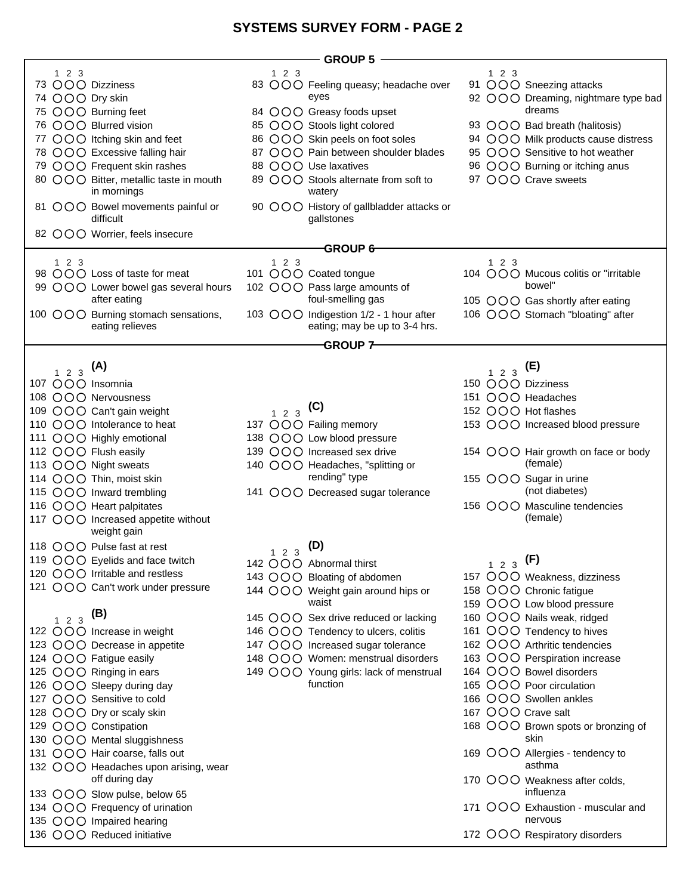## **SYSTEMS SURVEY FORM - PAGE 2**

|                                        | - GROUP 5                                |                                      |
|----------------------------------------|------------------------------------------|--------------------------------------|
| 123                                    | 123                                      | 123                                  |
| 73 OOO Dizziness                       | 83 OOO Feeling queasy; headache over     | 91 OOO Sneezing attacks              |
| 74 OOO Dry skin                        | eyes                                     | 92 OOO Dreaming, nightmare type bad  |
| 75 OOO Burning feet                    | 84 OOO Greasy foods upset                | dreams                               |
|                                        |                                          |                                      |
| 76 OOO Blurred vision                  | 85 OOO Stools light colored              | 93 OOO Bad breath (halitosis)        |
| 77 OOO Itching skin and feet           | 86 OOO Skin peels on foot soles          | 94 OOO Milk products cause distress  |
| 78 OOO Excessive falling hair          | 87 OOO Pain between shoulder blades      | 95 OOO Sensitive to hot weather      |
| 79 OOO Frequent skin rashes            | 88 OOO Use laxatives                     | 96 OOO Burning or itching anus       |
| 80 OOO Bitter, metallic taste in mouth | 89 OOO Stools alternate from soft to     | 97 OOO Crave sweets                  |
| in mornings                            | watery                                   |                                      |
|                                        |                                          |                                      |
| 81 OOO Bowel movements painful or      | 90 OOO History of gallbladder attacks or |                                      |
| difficult                              | gallstones                               |                                      |
| 82 OOO Worrier, feels insecure         |                                          |                                      |
|                                        | <b>GROUP 6-</b>                          |                                      |
| 123                                    | 123                                      | 123                                  |
| 98 OOO Loss of taste for meat          | 101 OOO Coated tongue                    | 104 OOO Mucous colitis or "irritable |
|                                        |                                          |                                      |
| 99 OOO Lower bowel gas several hours   | 102 OOO Pass large amounts of            | bowel"                               |
| after eating                           | foul-smelling gas                        | 105 OOO Gas shortly after eating     |
| 100 OOO Burning stomach sensations,    | 103 OOO Indigestion 1/2 - 1 hour after   | 106 OOO Stomach "bloating" after     |
| eating relieves                        | eating; may be up to 3-4 hrs.            |                                      |
|                                        |                                          |                                      |
|                                        | $-$ GROUP 7 $-$                          |                                      |
|                                        |                                          |                                      |
| $1\ 2\ 3$ (A)                          |                                          | (E)<br>$1 \quad 2 \quad 3$           |
| 107 OOO Insomnia                       |                                          | 150 OOO Dizziness                    |
| 108 OOO Nervousness                    |                                          | 151 OOO Headaches                    |
|                                        |                                          |                                      |
| 109 OOO Can't gain weight              | $1\ 2\ 3$ (C)                            | 152 OOO Hot flashes                  |
| 110 OOO Intolerance to heat            | 137 OOO Failing memory                   | 153 OOO Increased blood pressure     |
| 111 OOO Highly emotional               | 138 OOO Low blood pressure               |                                      |
| 112 OOO Flush easily                   | 139 OOO Increased sex drive              | 154 OOO Hair growth on face or body  |
| 113 OOO Night sweats                   | 140 OOO Headaches, "splitting or         | (female)                             |
|                                        | rending" type                            |                                      |
| 114 OOO Thin, moist skin               |                                          | 155 OOO Sugar in urine               |
| 115 OOO Inward trembling               | 141 OOO Decreased sugar tolerance        | (not diabetes)                       |
| 116 OOO Heart palpitates               |                                          | 156 OOO Masculine tendencies         |
| 117 OOO Increased appetite without     |                                          | (female)                             |
| weight gain                            |                                          |                                      |
|                                        |                                          |                                      |
| 118 OOO Pulse fast at rest             | (D)<br>$1 \quad 2 \quad 3$               |                                      |
| 119 OOO Eyelids and face twitch        | 142 OOO Abnormal thirst                  | $1\ 2\ 3$ (F)                        |
| 120 $OOO$ Irritable and restless       | 143 OOO Bloating of abdomen              | 157 OOO Weakness, dizziness          |
| 121 OOO Can't work under pressure      |                                          |                                      |
|                                        | 144 OOO Weight gain around hips or       | 158 OOO Chronic fatigue              |
|                                        | waist                                    | 159 OOO Low blood pressure           |
| $1\ 2\ 3$ (B)                          | 145 OOO Sex drive reduced or lacking     | 160 OOO Nails weak, ridged           |
| 122 OOO Increase in weight             | 146 OOO Tendency to ulcers, colitis      | 161 OOO Tendency to hives            |
| 123 OOO Decrease in appetite           | 147 OOO Increased sugar tolerance        | 162 OOO Arthritic tendencies         |
|                                        |                                          |                                      |
| 124 OOO Fatigue easily                 | 148 OOO Women: menstrual disorders       | 163 OOO Perspiration increase        |
| 125 OOO Ringing in ears                | 149 OOO Young girls: lack of menstrual   | 164 OOO Bowel disorders              |
| 126 OOO Sleepy during day              | function                                 | 165 OOO Poor circulation             |
| 127 OOO Sensitive to cold              |                                          | 166 OOO Swollen ankles               |
| 128 OOO Dry or scaly skin              |                                          | 167 OOO Crave salt                   |
|                                        |                                          |                                      |
| 129 OOO Constipation                   |                                          | 168 OOO Brown spots or bronzing of   |
| 130 OOO Mental sluggishness            |                                          | skin                                 |
| 131 OOO Hair coarse, falls out         |                                          | 169 OOO Allergies - tendency to      |
| 132 OOO Headaches upon arising, wear   |                                          | asthma                               |
| off during day                         |                                          | 170 OOO Weakness after colds,        |
|                                        |                                          | influenza                            |
| 133 OOO Slow pulse, below 65           |                                          |                                      |
| 134 OOO Frequency of urination         |                                          | 171 OOO Exhaustion - muscular and    |
| 135 OOO Impaired hearing               |                                          | nervous                              |
| 136 OOO Reduced initiative             |                                          | 172 OOO Respiratory disorders        |
|                                        |                                          |                                      |

 $\overline{\phantom{a}}$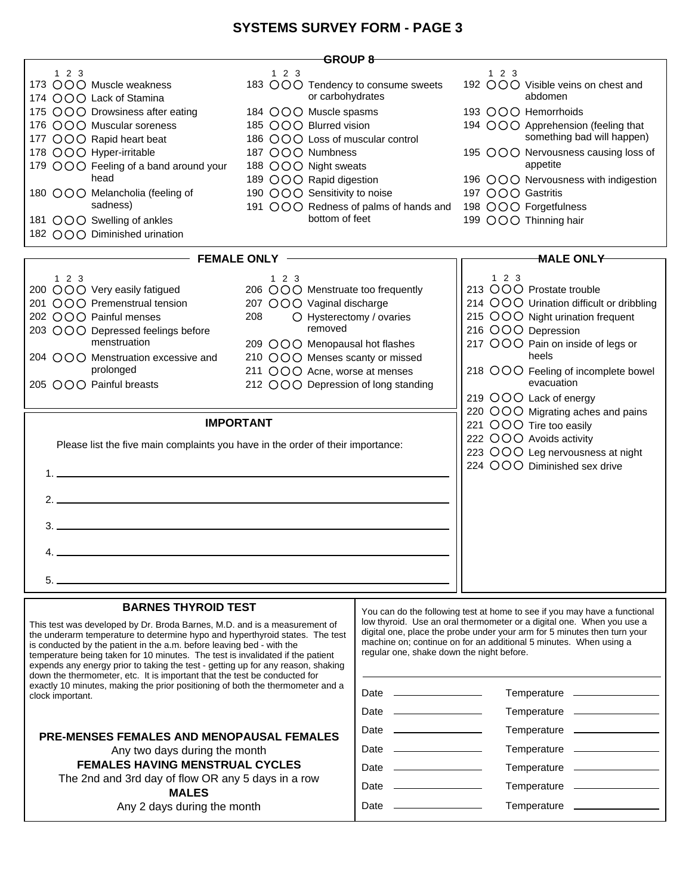## **SYSTEMS SURVEY FORM - PAGE 3**

| <del>G</del> ROUP 8-                                                                                                                                                                                                                                                                                                                                                                                                                                                                                                                                                                                                                                                                                                                                                                                                           |                                                                                                                                                                                                                                                                               |                                                                                                                                                                                                                                                                                                                                                                                                                                                                                                                                                                                                                                                                                 |                                                                                                                                                                                                                                                                                                                                                                                                                                   |  |  |  |  |
|--------------------------------------------------------------------------------------------------------------------------------------------------------------------------------------------------------------------------------------------------------------------------------------------------------------------------------------------------------------------------------------------------------------------------------------------------------------------------------------------------------------------------------------------------------------------------------------------------------------------------------------------------------------------------------------------------------------------------------------------------------------------------------------------------------------------------------|-------------------------------------------------------------------------------------------------------------------------------------------------------------------------------------------------------------------------------------------------------------------------------|---------------------------------------------------------------------------------------------------------------------------------------------------------------------------------------------------------------------------------------------------------------------------------------------------------------------------------------------------------------------------------------------------------------------------------------------------------------------------------------------------------------------------------------------------------------------------------------------------------------------------------------------------------------------------------|-----------------------------------------------------------------------------------------------------------------------------------------------------------------------------------------------------------------------------------------------------------------------------------------------------------------------------------------------------------------------------------------------------------------------------------|--|--|--|--|
| 123<br>173 OOO Muscle weakness<br>174 OOO Lack of Stamina<br>175 OOO Drowsiness after eating<br>176 OOO Muscular soreness<br>177 OOO Rapid heart beat<br>178 OOO Hyper-irritable<br>179 OOO Feeling of a band around your<br>head<br>180 OOO Melancholia (feeling of<br>sadness)<br>181 OOO Swelling of ankles<br>182 OOO Diminished urination                                                                                                                                                                                                                                                                                                                                                                                                                                                                                 | 123<br>183 OOO Tendency to consume sweets<br>or carbohydrates<br>184 OOO Muscle spasms<br>185 OOO Blurred vision<br>186 OOO Loss of muscular control<br>187 OOO Numbness<br>188 OOO Night sweats<br>189 OOO Rapid digestion<br>190 OOO Sensitivity to noise<br>bottom of feet |                                                                                                                                                                                                                                                                                                                                                                                                                                                                                                                                                                                                                                                                                 | 123<br>192 OOO Visible veins on chest and<br>abdomen<br>193 OOO Hemorrhoids<br>194 OOO Apprehension (feeling that<br>something bad will happen)<br>195 OOO Nervousness causing loss of<br>appetite<br>196 OOO Nervousness with indigestion<br>197 OOO Gastritis<br>191 OOO Redness of palms of hands and 198 OOO Forgetfulness<br>199 OOO Thinning hair                                                                           |  |  |  |  |
|                                                                                                                                                                                                                                                                                                                                                                                                                                                                                                                                                                                                                                                                                                                                                                                                                                |                                                                                                                                                                                                                                                                               |                                                                                                                                                                                                                                                                                                                                                                                                                                                                                                                                                                                                                                                                                 | <b>MALE ONLY</b>                                                                                                                                                                                                                                                                                                                                                                                                                  |  |  |  |  |
| $-$ FEMALE ONLY<br>123<br>123<br>200 OOO Very easily fatigued<br>206 OOO Menstruate too frequently<br>201 OOO Premenstrual tension<br>207 OOO Vaginal discharge<br>202 OOO Painful menses<br>O Hysterectomy / ovaries<br>208<br>removed<br>203 OOO Depressed feelings before<br>menstruation<br>209 OOO Menopausal hot flashes<br>210 OOO Menses scanty or missed<br>204 ○○○ Menstruation excessive and<br>prolonged<br>211 OOO Acne, worse at menses<br>205 OOO Painful breasts<br>212 OOO Depression of long standing<br><b>IMPORTANT</b><br>Please list the five main complaints you have in the order of their importance:<br>$2.$ $\overline{\phantom{a}}$<br><u> 1989 - Johann John Stein, fransk politik (f. 1989)</u><br>3.<br>4.<br>$5.$ —                                                                            |                                                                                                                                                                                                                                                                               |                                                                                                                                                                                                                                                                                                                                                                                                                                                                                                                                                                                                                                                                                 | 123<br>213 OOO Prostate trouble<br>214 OOO Urination difficult or dribbling<br>215 OOO Night urination frequent<br>216 OOO Depression<br>217 OOO Pain on inside of legs or<br>heels<br>218 OOO Feeling of incomplete bowel<br>evacuation<br>219 OOO Lack of energy<br>220 OOO Migrating aches and pains<br>221 OOO Tire too easily<br>222 OOO Avoids activity<br>223 OOO Leg nervousness at night<br>224 OOO Diminished sex drive |  |  |  |  |
| <b>BARNES THYROID TEST</b><br>This test was developed by Dr. Broda Barnes, M.D. and is a measurement of<br>the underarm temperature to determine hypo and hyperthyroid states. The test<br>is conducted by the patient in the a.m. before leaving bed - with the<br>temperature being taken for 10 minutes. The test is invalidated if the patient<br>expends any energy prior to taking the test - getting up for any reason, shaking<br>down the thermometer, etc. It is important that the test be conducted for<br>exactly 10 minutes, making the prior positioning of both the thermometer and a<br>clock important.<br><b>PRE-MENSES FEMALES AND MENOPAUSAL FEMALES</b><br>Any two days during the month<br><b>FEMALES HAVING MENSTRUAL CYCLES</b><br>The 2nd and 3rd day of flow OR any 5 days in a row<br><b>MALES</b> |                                                                                                                                                                                                                                                                               | You can do the following test at home to see if you may have a functional<br>low thyroid. Use an oral thermometer or a digital one. When you use a<br>digital one, place the probe under your arm for 5 minutes then turn your<br>machine on; continue on for an additional 5 minutes. When using a<br>regular one, shake down the night before.<br>Temperature _______________<br>Temperature _______________<br>Date<br><u>and the state of the state of the state</u><br>Temperature _______________<br>Date<br>Temperature _______________<br>Date<br>Date<br><u> 1989 - Johann Barn, amerikansk politiker (</u><br>Temperature ______________<br>Date <u>_____________</u> |                                                                                                                                                                                                                                                                                                                                                                                                                                   |  |  |  |  |
| Any 2 days during the month                                                                                                                                                                                                                                                                                                                                                                                                                                                                                                                                                                                                                                                                                                                                                                                                    |                                                                                                                                                                                                                                                                               |                                                                                                                                                                                                                                                                                                                                                                                                                                                                                                                                                                                                                                                                                 |                                                                                                                                                                                                                                                                                                                                                                                                                                   |  |  |  |  |